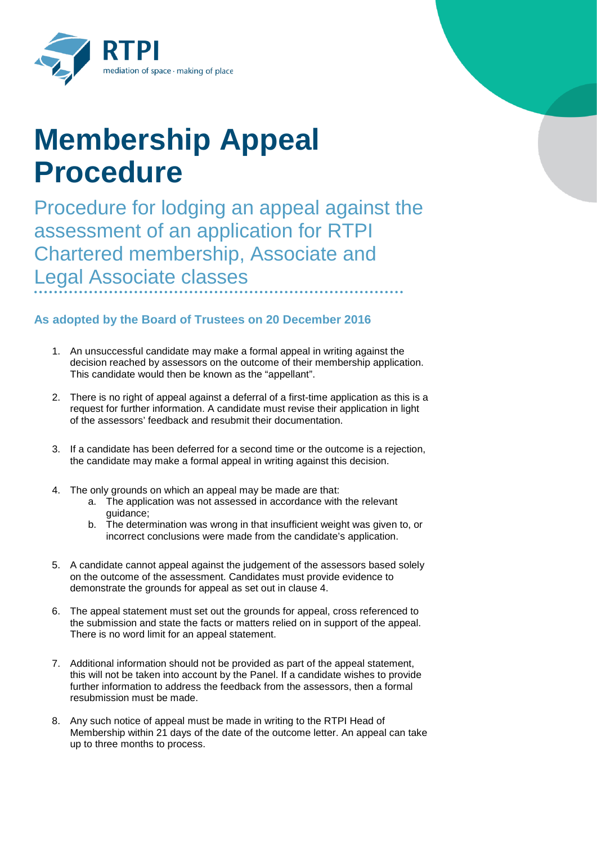

## **Membership Appeal Procedure**

Procedure for lodging an appeal against the assessment of an application for RTPI Chartered membership, Associate and Legal Associate classes

## **As adopted by the Board of Trustees on 20 December 2016**

- 1. An unsuccessful candidate may make a formal appeal in writing against the decision reached by assessors on the outcome of their membership application. This candidate would then be known as the "appellant".
- 2. There is no right of appeal against a deferral of a first-time application as this is a request for further information. A candidate must revise their application in light of the assessors' feedback and resubmit their documentation.
- 3. If a candidate has been deferred for a second time or the outcome is a rejection, the candidate may make a formal appeal in writing against this decision.
- 4. The only grounds on which an appeal may be made are that:
	- a. The application was not assessed in accordance with the relevant guidance;
	- b. The determination was wrong in that insufficient weight was given to, or incorrect conclusions were made from the candidate's application.
- 5. A candidate cannot appeal against the judgement of the assessors based solely on the outcome of the assessment. Candidates must provide evidence to demonstrate the grounds for appeal as set out in clause 4.
- 6. The appeal statement must set out the grounds for appeal, cross referenced to the submission and state the facts or matters relied on in support of the appeal. There is no word limit for an appeal statement.
- 7. Additional information should not be provided as part of the appeal statement, this will not be taken into account by the Panel. If a candidate wishes to provide further information to address the feedback from the assessors, then a formal resubmission must be made.
- 8. Any such notice of appeal must be made in writing to the RTPI Head of Membership within 21 days of the date of the outcome letter. An appeal can take up to three months to process.